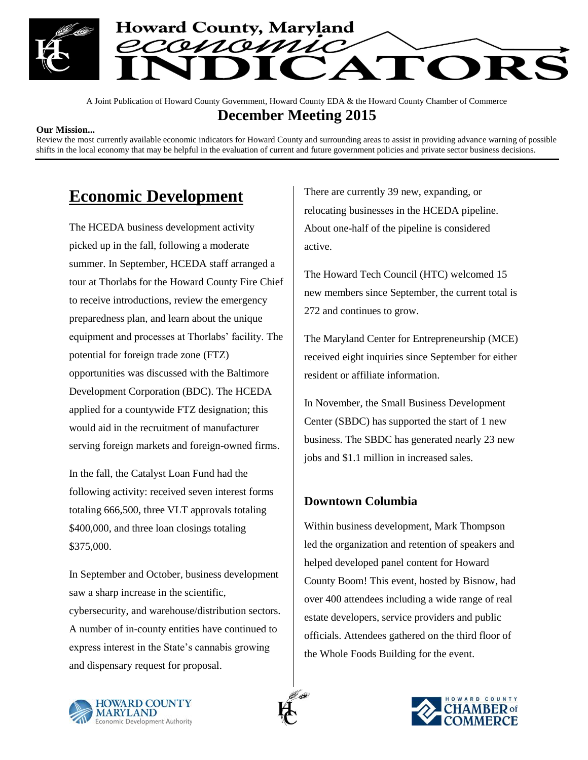

A Joint Publication of Howard County Government, Howard County EDA & the Howard County Chamber of Commerce **December Meeting 2015**

#### **Our Mission...**

Review the most currently available economic indicators for Howard County and surrounding areas to assist in providing advance warning of possible shifts in the local economy that may be helpful in the evaluation of current and future government policies and private sector business decisions.

# **Economic Development**

The HCEDA business development activity picked up in the fall, following a moderate summer. In September, HCEDA staff arranged a tour at Thorlabs for the Howard County Fire Chief to receive introductions, review the emergency preparedness plan, and learn about the unique equipment and processes at Thorlabs' facility. The potential for foreign trade zone (FTZ) opportunities was discussed with the Baltimore Development Corporation (BDC). The HCEDA applied for a countywide FTZ designation; this would aid in the recruitment of manufacturer serving foreign markets and foreign-owned firms.

In the fall, the Catalyst Loan Fund had the following activity: received seven interest forms totaling 666,500, three VLT approvals totaling \$400,000, and three loan closings totaling \$375,000.

In September and October, business development saw a sharp increase in the scientific, cybersecurity, and warehouse/distribution sectors. A number of in-county entities have continued to express interest in the State's cannabis growing and dispensary request for proposal.

There are currently 39 new, expanding, or relocating businesses in the HCEDA pipeline. About one-half of the pipeline is considered active.

The Howard Tech Council (HTC) welcomed 15 new members since September, the current total is 272 and continues to grow.

The Maryland Center for Entrepreneurship (MCE) received eight inquiries since September for either resident or affiliate information.

In November, the Small Business Development Center (SBDC) has supported the start of 1 new business. The SBDC has generated nearly 23 new jobs and \$1.1 million in increased sales.

## **Downtown Columbia**

Within business development, Mark Thompson led the organization and retention of speakers and helped developed panel content for Howard County Boom! This event, hosted by Bisnow, had over 400 attendees including a wide range of real estate developers, service providers and public officials. Attendees gathered on the third floor of the Whole Foods Building for the event.





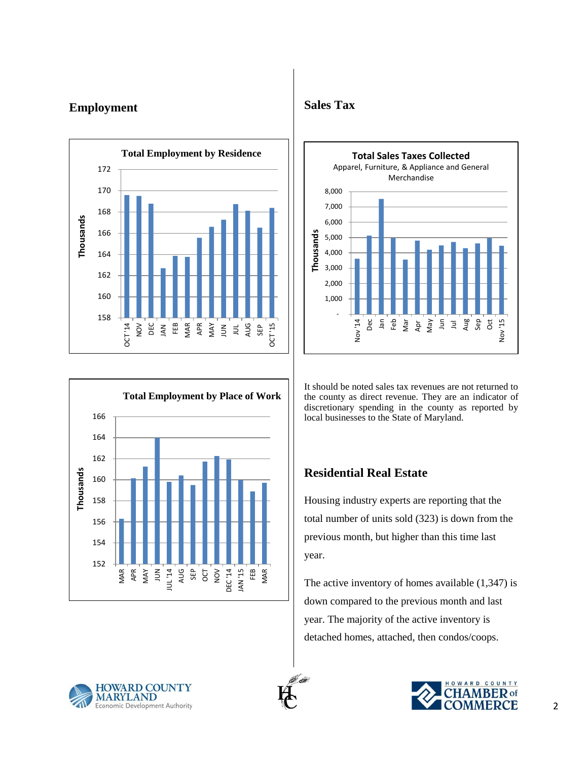## **Employment** Sales Tax







It should be noted sales tax revenues are not returned to the county as direct revenue. They are an indicator of discretionary spending in the county as reported by local businesses to the State of Maryland.

## **Residential Real Estate**

Housing industry experts are reporting that the total number of units sold (323) is down from the previous month, but higher than this time last year.

The active inventory of homes available  $(1,347)$  is down compared to the previous month and last year. The majority of the active inventory is detached homes, attached, then condos/coops.



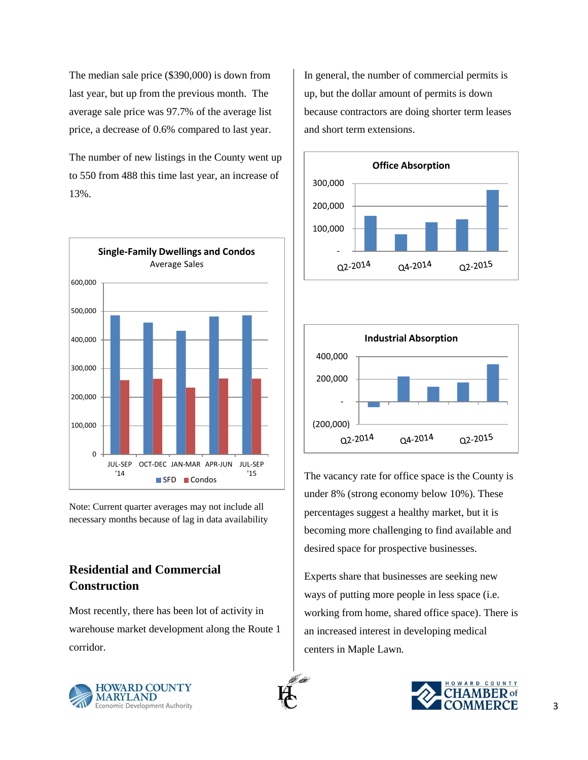The median sale price (\$390,000) is down from last year, but up from the previous month. The average sale price was 97.7% of the average list price, a decrease of 0.6% compared to last year.

The number of new listings in the County went up to 550 from 488 this time last year, an increase of 13%.



Note: Current quarter averages may not include all necessary months because of lag in data availability

## **Residential and Commercial Construction**

Most recently, there has been lot of activity in warehouse market development along the Route 1 corridor.

In general, the number of commercial permits is up, but the dollar amount of permits is down because contractors are doing shorter term leases and short term extensions.





The vacancy rate for office space is the County is under 8% (strong economy below 10%). These percentages suggest a healthy market, but it is becoming more challenging to find available and desired space for prospective businesses.

Experts share that businesses are seeking new ways of putting more people in less space (i.e. working from home, shared office space). There is an increased interest in developing medical centers in Maple Lawn.



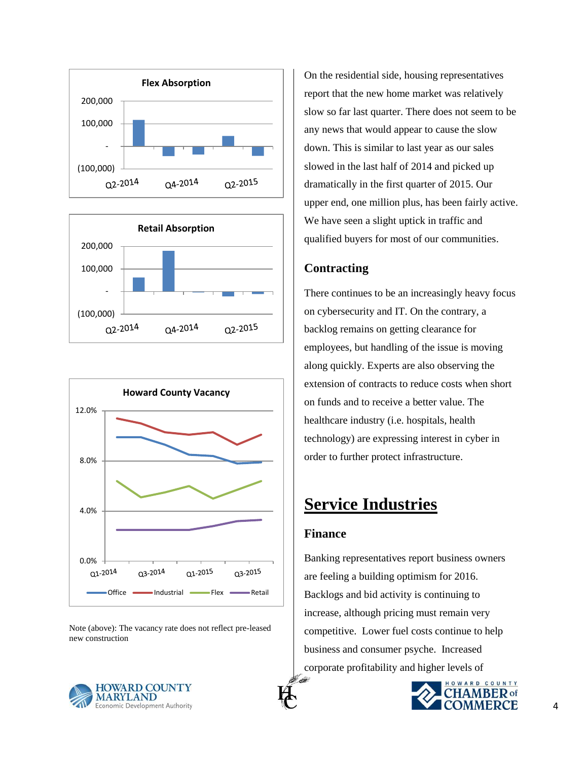





Note (above): The vacancy rate does not reflect pre-leased new construction

On the residential side, housing representatives report that the new home market was relatively slow so far last quarter. There does not seem to be any news that would appear to cause the slow down. This is similar to last year as our sales slowed in the last half of 2014 and picked up dramatically in the first quarter of 2015. Our upper end, one million plus, has been fairly active. We have seen a slight uptick in traffic and qualified buyers for most of our communities.

## **Contracting**

There continues to be an increasingly heavy focus on cybersecurity and IT. On the contrary, a backlog remains on getting clearance for employees, but handling of the issue is moving along quickly. Experts are also observing the extension of contracts to reduce costs when short on funds and to receive a better value. The healthcare industry (i.e. hospitals, health technology) are expressing interest in cyber in order to further protect infrastructure.

# **Service Industries**

## **Finance**

Banking representatives report business owners are feeling a building optimism for 2016. Backlogs and bid activity is continuing to increase, although pricing must remain very competitive. Lower fuel costs continue to help business and consumer psyche. Increased corporate profitability and higher levels of